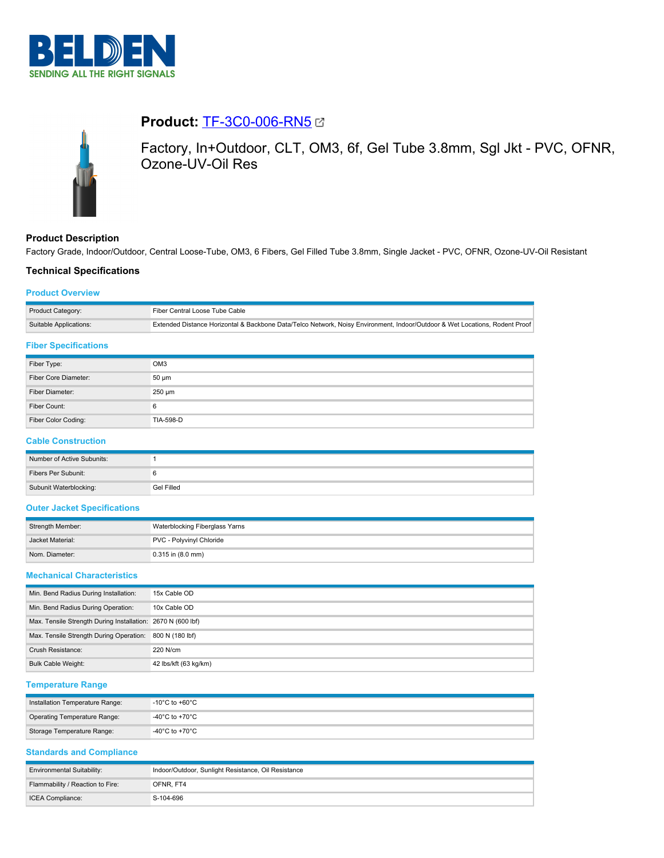



# **Product:** [TF-3C0-006-RN5](https://catalog.belden.com/index.cfm?event=pd&p=PF_TF3C0006RN5&tab=downloads)

Factory, In+Outdoor, CLT, OM3, 6f, Gel Tube 3.8mm, Sgl Jkt - PVC, OFNR, Ozone-UV-Oil Res

## **Product Description**

Factory Grade, Indoor/Outdoor, Central Loose-Tube, OM3, 6 Fibers, Gel Filled Tube 3.8mm, Single Jacket - PVC, OFNR, Ozone-UV-Oil Resistant

## **Technical Specifications**

#### **Product Overview**

| Product Category:      | Fiber Central Loose Tube Cable                                                                                              |
|------------------------|-----------------------------------------------------------------------------------------------------------------------------|
| Suitable Applications: | Extended Distance Horizontal & Backbone Data/Telco Network, Noisy Environment, Indoor/Outdoor & Wet Locations, Rodent Proof |
|                        |                                                                                                                             |

#### **Fiber Specifications**

| Fiber Type:          | OM <sub>3</sub>  |
|----------------------|------------------|
| Fiber Core Diameter: | $50 \mu m$       |
| Fiber Diameter:      | $250 \mu m$      |
| Fiber Count:         |                  |
| Fiber Color Coding:  | <b>TIA-598-D</b> |

## **Cable Construction**

| Number of Active Subunits: |            |
|----------------------------|------------|
| Fibers Per Subunit:        |            |
| Subunit Waterblocking:     | Gel Filled |

## **Outer Jacket Specifications**

| Strength Member: | Waterblocking Fiberglass Yarns |
|------------------|--------------------------------|
| Jacket Material: | PVC - Polyvinyl Chloride       |
| Nom. Diameter:   | 0.315 in (8.0 mm)              |

#### **Mechanical Characteristics**

| Min. Bend Radius During Installation:                       | 15x Cable OD          |
|-------------------------------------------------------------|-----------------------|
| Min. Bend Radius During Operation:                          | 10x Cable OD          |
| Max. Tensile Strength During Installation: 2670 N (600 lbf) |                       |
| Max. Tensile Strength During Operation:                     | 800 N (180 lbf)       |
| <b>Crush Resistance:</b>                                    | 220 N/cm              |
| <b>Bulk Cable Weight:</b>                                   | 42 lbs/kft (63 kg/km) |

## **Temperature Range**

| Installation Temperature Range: | $-10^{\circ}$ C to +60 $^{\circ}$ C $-$ |
|---------------------------------|-----------------------------------------|
| Operating Temperature Range:    | -40°C to +70°C                          |
| Storage Temperature Range:      | -40°C to +70°C                          |

### **Standards and Compliance**

| <b>Environmental Suitability:</b> | Indoor/Outdoor, Sunlight Resistance, Oil Resistance |
|-----------------------------------|-----------------------------------------------------|
| Flammability / Reaction to Fire:  | OFNR, FT4                                           |
| <b>ICEA Compliance:</b>           | S-104-696                                           |